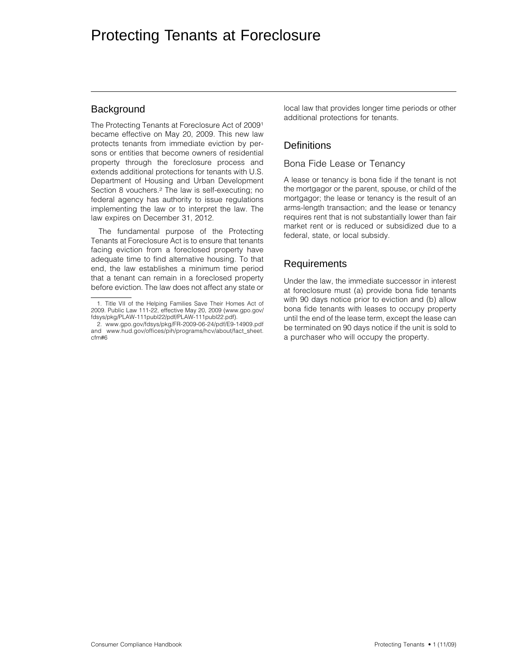## **Background**

The Protecting Tenants at Foreclosure Act of 20091 became effective on May 20, 2009. This new law protects tenants from immediate eviction by persons or entities that become owners of residential property through the foreclosure process and extends additional protections for tenants with U.S. Department of Housing and Urban Development Section 8 vouchers.2 The law is self-executing; no federal agency has authority to issue regulations implementing the law or to interpret the law. The law expires on December 31, 2012.

The fundamental purpose of the Protecting Tenants at Foreclosure Act is to ensure that tenants facing eviction from a foreclosed property have adequate time to find alternative housing. To that end, the law establishes a minimum time period that a tenant can remain in a foreclosed property before eviction. The law does not affect any state or

local law that provides longer time periods or other additional protections for tenants.

# **Definitions**

#### Bona Fide Lease or Tenancy

A lease or tenancy is bona fide if the tenant is not the mortgagor or the parent, spouse, or child of the mortgagor; the lease or tenancy is the result of an arms-length transaction; and the lease or tenancy requires rent that is not substantially lower than fair market rent or is reduced or subsidized due to a federal, state, or local subsidy.

# Requirements

Under the law, the immediate successor in interest at foreclosure must (a) provide bona fide tenants with 90 days notice prior to eviction and (b) allow bona fide tenants with leases to occupy property until the end of the lease term, except the lease can be terminated on 90 days notice if the unit is sold to a purchaser who will occupy the property.

<sup>1.</sup> Title VII of the Helping Families Save Their Homes Act of 2009. Public Law 111-22, effective May 20, 2009 (www.gpo.gov/ fdsys/pkg/PLAW-111publ22/pdf/PLAW-111publ22.pdf).

<sup>2.</sup> www.gpo.gov/fdsys/pkg/FR-2009-06-24/pdf/E9-14909.pdf and www.hud.gov/offices/pih/programs/hcv/about/fact\_sheet. cfm#6